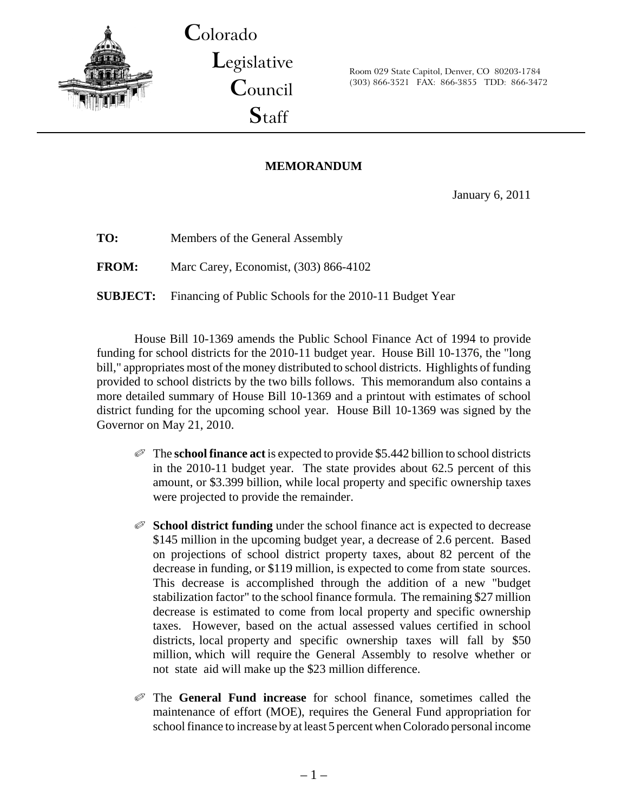

**C**olorado **L**egislative **C**ouncil **S**taff

Room 029 State Capitol, Denver, CO 80203-1784 (303) 866-3521 FAX: 866-3855 TDD: 866-3472

# **MEMORANDUM**

January 6, 2011

**TO:** Members of the General Assembly

**FROM:** Marc Carey, Economist, (303) 866-4102

**SUBJECT:** Financing of Public Schools for the 2010-11 Budget Year

House Bill 10-1369 amends the Public School Finance Act of 1994 to provide funding for school districts for the 2010-11 budget year. House Bill 10-1376, the "long bill," appropriates most of the money distributed to school districts. Highlights of funding provided to school districts by the two bills follows. This memorandum also contains a more detailed summary of House Bill 10-1369 and a printout with estimates of school district funding for the upcoming school year. House Bill 10-1369 was signed by the Governor on May 21, 2010.

- Q The **school finance act** is expected to provide \$5.442 billion to school districts in the 2010-11 budget year. The state provides about 62.5 percent of this amount, or \$3.399 billion, while local property and specific ownership taxes were projected to provide the remainder.
- Q **School district funding** under the school finance act is expected to decrease \$145 million in the upcoming budget year, a decrease of 2.6 percent. Based on projections of school district property taxes, about 82 percent of the decrease in funding, or \$119 million, is expected to come from state sources. This decrease is accomplished through the addition of a new "budget stabilization factor" to the school finance formula. The remaining \$27 million decrease is estimated to come from local property and specific ownership taxes. However, based on the actual assessed values certified in school districts, local property and specific ownership taxes will fall by \$50 million, which will require the General Assembly to resolve whether or not state aid will make up the \$23 million difference.
- Q The **General Fund increase** for school finance, sometimes called the maintenance of effort (MOE), requires the General Fund appropriation for school finance to increase by at least 5 percent when Colorado personal income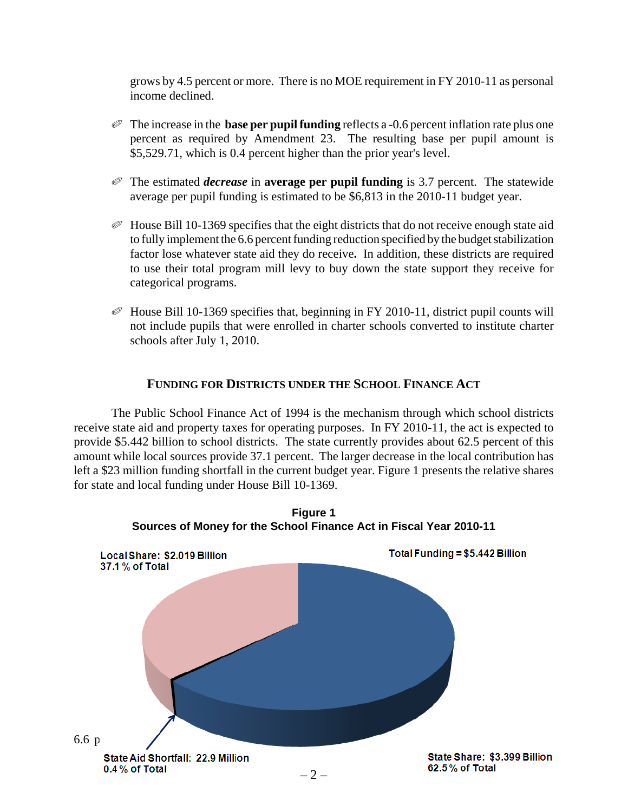grows by 4.5 percent or more. There is no MOE requirement in FY 2010-11 as personal income declined.

- $\mathcal O$  The increase in the **base per pupil funding** reflects a -0.6 percent inflation rate plus one percent as required by Amendment 23. The resulting base per pupil amount is \$5,529.71, which is 0.4 percent higher than the prior year's level.
- Q The estimated *decrease* in **average per pupil funding** is 3.7 percent. The statewide average per pupil funding is estimated to be \$6,813 in the 2010-11 budget year.
- $\mathcal O$  House Bill 10-1369 specifies that the eight districts that do not receive enough state aid to fully implement the 6.6 percent funding reduction specified by the budget stabilization factor lose whatever state aid they do receive**.** In addition, these districts are required to use their total program mill levy to buy down the state support they receive for categorical programs.
- $\mathcal O$  House Bill 10-1369 specifies that, beginning in FY 2010-11, district pupil counts will not include pupils that were enrolled in charter schools converted to institute charter schools after July 1, 2010.

## **FUNDING FOR DISTRICTS UNDER THE SCHOOL FINANCE ACT**

The Public School Finance Act of 1994 is the mechanism through which school districts receive state aid and property taxes for operating purposes. In FY 2010-11, the act is expected to provide \$5.442 billion to school districts. The state currently provides about 62.5 percent of this amount while local sources provide 37.1 percent. The larger decrease in the local contribution has left a \$23 million funding shortfall in the current budget year. Figure 1 presents the relative shares for state and local funding under House Bill 10-1369.

**Figure 1**

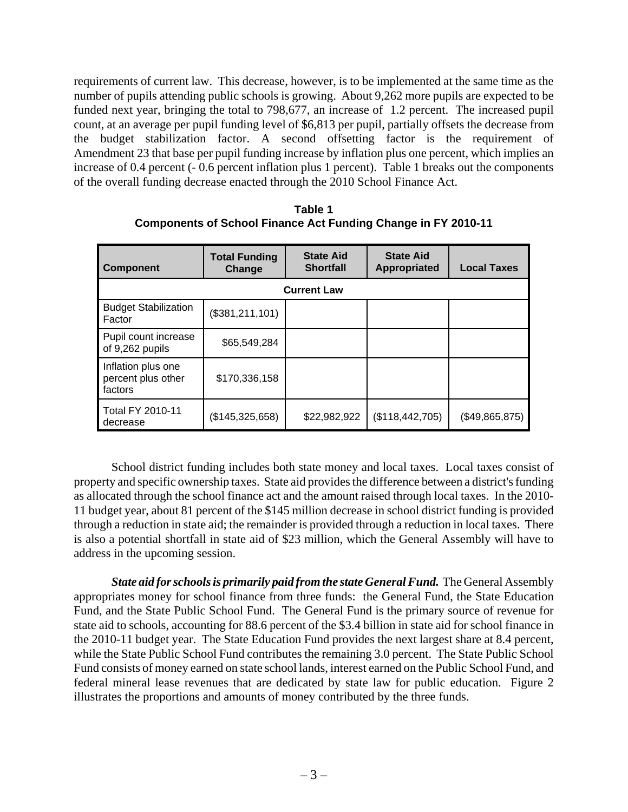requirements of current law. This decrease, however, is to be implemented at the same time as the number of pupils attending public schools is growing. About 9,262 more pupils are expected to be funded next year, bringing the total to 798,677, an increase of 1.2 percent. The increased pupil count, at an average per pupil funding level of \$6,813 per pupil, partially offsets the decrease from the budget stabilization factor. A second offsetting factor is the requirement of Amendment 23 that base per pupil funding increase by inflation plus one percent, which implies an increase of 0.4 percent (- 0.6 percent inflation plus 1 percent). Table 1 breaks out the components of the overall funding decrease enacted through the 2010 School Finance Act.

| <b>Component</b>                                    | <b>Total Funding</b><br>Change | <b>State Aid</b><br><b>Shortfall</b> | <b>State Aid</b><br>Appropriated | <b>Local Taxes</b> |  |  |  |  |  |
|-----------------------------------------------------|--------------------------------|--------------------------------------|----------------------------------|--------------------|--|--|--|--|--|
| <b>Current Law</b>                                  |                                |                                      |                                  |                    |  |  |  |  |  |
| <b>Budget Stabilization</b><br>Factor               | (\$381,211,101)                |                                      |                                  |                    |  |  |  |  |  |
| Pupil count increase<br>of 9,262 pupils             | \$65,549,284                   |                                      |                                  |                    |  |  |  |  |  |
| Inflation plus one<br>percent plus other<br>factors | \$170,336,158                  |                                      |                                  |                    |  |  |  |  |  |
| <b>Total FY 2010-11</b><br>decrease                 | (\$145,325,658)                | \$22,982,922                         | (\$118,442,705)                  | (\$49,865,875)     |  |  |  |  |  |

**Table 1 Components of School Finance Act Funding Change in FY 2010-11**

School district funding includes both state money and local taxes. Local taxes consist of property and specific ownership taxes. State aid provides the difference between a district's funding as allocated through the school finance act and the amount raised through local taxes. In the 2010- 11 budget year, about 81 percent of the \$145 million decrease in school district funding is provided through a reduction in state aid; the remainder is provided through a reduction in local taxes. There is also a potential shortfall in state aid of \$23 million, which the General Assembly will have to address in the upcoming session.

*State aid for schools is primarily paid from the state General Fund.* The General Assembly appropriates money for school finance from three funds: the General Fund, the State Education Fund, and the State Public School Fund. The General Fund is the primary source of revenue for state aid to schools, accounting for 88.6 percent of the \$3.4 billion in state aid for school finance in the 2010-11 budget year. The State Education Fund provides the next largest share at 8.4 percent, while the State Public School Fund contributes the remaining 3.0 percent. The State Public School Fund consists of money earned on state school lands, interest earned on the Public School Fund, and federal mineral lease revenues that are dedicated by state law for public education. Figure 2 illustrates the proportions and amounts of money contributed by the three funds.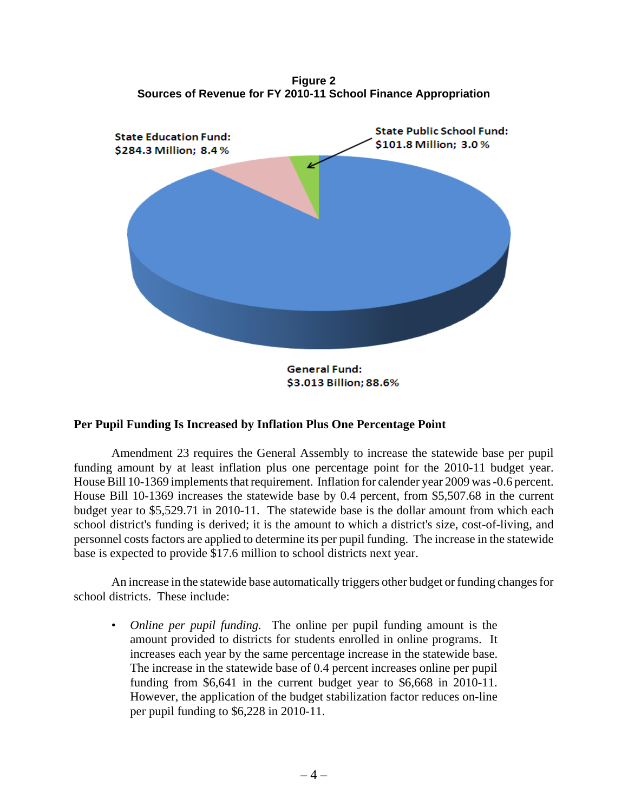**Figure 2 Sources of Revenue for FY 2010-11 School Finance Appropriation**



#### \$3.013 Billion; 88.6%

#### **Per Pupil Funding Is Increased by Inflation Plus One Percentage Point**

Amendment 23 requires the General Assembly to increase the statewide base per pupil funding amount by at least inflation plus one percentage point for the 2010-11 budget year. House Bill 10-1369 implements that requirement. Inflation for calender year 2009 was -0.6 percent. House Bill 10-1369 increases the statewide base by 0.4 percent, from \$5,507.68 in the current budget year to \$5,529.71 in 2010-11. The statewide base is the dollar amount from which each school district's funding is derived; it is the amount to which a district's size, cost-of-living, and personnel costs factors are applied to determine its per pupil funding. The increase in the statewide base is expected to provide \$17.6 million to school districts next year.

An increase in the statewide base automatically triggers other budget or funding changes for school districts. These include:

• *Online per pupil funding.* The online per pupil funding amount is the amount provided to districts for students enrolled in online programs. It increases each year by the same percentage increase in the statewide base. The increase in the statewide base of 0.4 percent increases online per pupil funding from \$6,641 in the current budget year to \$6,668 in 2010-11. However, the application of the budget stabilization factor reduces on-line per pupil funding to \$6,228 in 2010-11.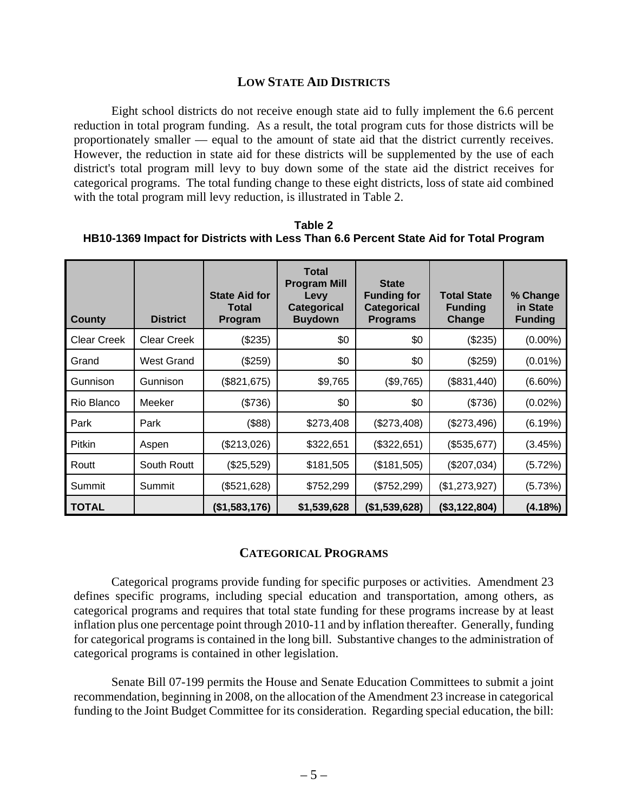### **LOW STATE AID DISTRICTS**

Eight school districts do not receive enough state aid to fully implement the 6.6 percent reduction in total program funding. As a result, the total program cuts for those districts will be proportionately smaller — equal to the amount of state aid that the district currently receives. However, the reduction in state aid for these districts will be supplemented by the use of each district's total program mill levy to buy down some of the state aid the district receives for categorical programs. The total funding change to these eight districts, loss of state aid combined with the total program mill levy reduction, is illustrated in Table 2.

**Table 2 HB10-1369 Impact for Districts with Less Than 6.6 Percent State Aid for Total Program**

| County             | <b>District</b>    | <b>State Aid for</b><br>Total<br>Program | <b>Total</b><br><b>Program Mill</b><br><b>Levy</b><br>Categorical<br><b>Buydown</b> | <b>State</b><br><b>Funding for</b><br><b>Categorical</b><br><b>Programs</b> | <b>Total State</b><br><b>Funding</b><br>Change | % Change<br>in State<br><b>Funding</b> |
|--------------------|--------------------|------------------------------------------|-------------------------------------------------------------------------------------|-----------------------------------------------------------------------------|------------------------------------------------|----------------------------------------|
| <b>Clear Creek</b> | <b>Clear Creek</b> | (\$235)                                  | \$0                                                                                 | \$0                                                                         | (\$235)                                        | $(0.00\%)$                             |
| Grand              | West Grand         | (\$259)                                  | \$0                                                                                 | \$0                                                                         | (\$259)                                        | $(0.01\%)$                             |
| Gunnison           | Gunnison           | (\$821,675)                              | \$9,765                                                                             | (\$9,765)                                                                   | (\$831,440)                                    | $(6.60\%)$                             |
| Rio Blanco         | Meeker             | (\$736)                                  | \$0                                                                                 | \$0                                                                         | (\$736)                                        | $(0.02\%)$                             |
| Park               | Park               | $($ \$88)                                | \$273,408                                                                           | (\$273,408)                                                                 | (\$273,496)                                    | (6.19%)                                |
| <b>Pitkin</b>      | Aspen              | (\$213,026)                              | \$322,651                                                                           | (\$322,651)                                                                 | (\$535,677)                                    | (3.45%)                                |
| Routt              | South Routt        | (\$25,529)                               | \$181,505                                                                           | (\$181,505)                                                                 | (\$207,034)                                    | (5.72%)                                |
| Summit             | Summit             | (\$521,628)                              | \$752,299                                                                           | (\$752,299)                                                                 | (\$1,273,927)                                  | (5.73%)                                |
| <b>TOTAL</b>       |                    | (\$1,583,176)                            | \$1,539,628                                                                         | (\$1,539,628)                                                               | (\$3,122,804)                                  | (4.18%)                                |

## **CATEGORICAL PROGRAMS**

Categorical programs provide funding for specific purposes or activities. Amendment 23 defines specific programs, including special education and transportation, among others, as categorical programs and requires that total state funding for these programs increase by at least inflation plus one percentage point through 2010-11 and by inflation thereafter. Generally, funding for categorical programs is contained in the long bill. Substantive changes to the administration of categorical programs is contained in other legislation.

Senate Bill 07-199 permits the House and Senate Education Committees to submit a joint recommendation, beginning in 2008, on the allocation of the Amendment 23 increase in categorical funding to the Joint Budget Committee for its consideration. Regarding special education, the bill: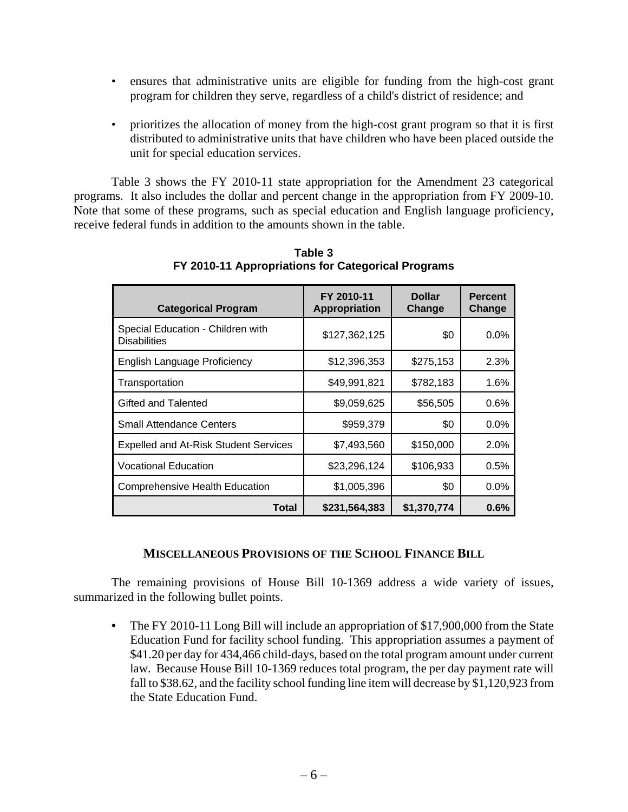- ensures that administrative units are eligible for funding from the high-cost grant program for children they serve, regardless of a child's district of residence; and
- prioritizes the allocation of money from the high-cost grant program so that it is first distributed to administrative units that have children who have been placed outside the unit for special education services.

Table 3 shows the FY 2010-11 state appropriation for the Amendment 23 categorical programs. It also includes the dollar and percent change in the appropriation from FY 2009-10. Note that some of these programs, such as special education and English language proficiency, receive federal funds in addition to the amounts shown in the table.

| <b>Categorical Program</b>                               | FY 2010-11<br>Appropriation | <b>Dollar</b><br>Change | <b>Percent</b><br>Change |
|----------------------------------------------------------|-----------------------------|-------------------------|--------------------------|
| Special Education - Children with<br><b>Disabilities</b> | \$127,362,125               | \$0                     | $0.0\%$                  |
| <b>English Language Proficiency</b>                      | \$12,396,353                | \$275,153               | 2.3%                     |
| Transportation                                           | \$49,991,821                | \$782,183               | $1.6\%$                  |
| Gifted and Talented                                      | \$9,059,625                 | \$56,505                | $0.6\%$                  |
| <b>Small Attendance Centers</b>                          | \$959,379                   | \$0                     | $0.0\%$                  |
| <b>Expelled and At-Risk Student Services</b>             | \$7,493,560                 | \$150,000               | 2.0%                     |
| <b>Vocational Education</b>                              | \$23,296,124                | \$106,933               | 0.5%                     |
| <b>Comprehensive Health Education</b>                    | \$1,005,396                 | \$0                     | 0.0%                     |
| Total                                                    | \$231,564,383               | \$1,370,774             | 0.6%                     |

**Table 3 FY 2010-11 Appropriations for Categorical Programs**

#### **MISCELLANEOUS PROVISIONS OF THE SCHOOL FINANCE BILL**

The remaining provisions of House Bill 10-1369 address a wide variety of issues, summarized in the following bullet points.

*•* The FY 2010-11 Long Bill will include an appropriation of \$17,900,000 from the State Education Fund for facility school funding. This appropriation assumes a payment of \$41.20 per day for 434,466 child-days, based on the total program amount under current law. Because House Bill 10-1369 reduces total program, the per day payment rate will fall to \$38.62, and the facility school funding line item will decrease by \$1,120,923 from the State Education Fund.